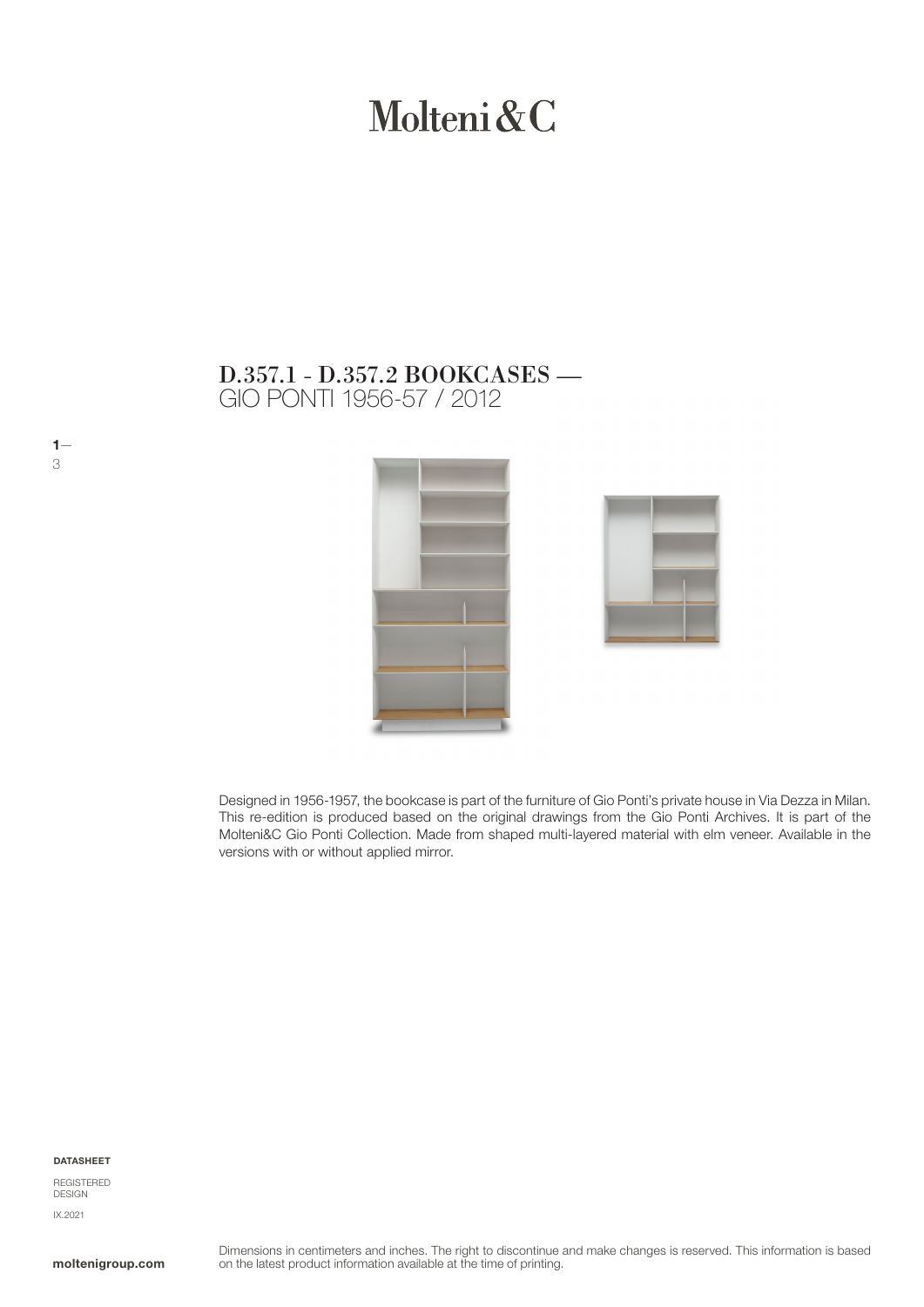# Molteni&C

# GIO PONTI 1956-57 / 2012 D.357.1 - D.357.2 BOOKCASES —





Designed in 1956-1957, the bookcase is part of the furniture of Gio Ponti's private house in Via Dezza in Milan. This re-edition is produced based on the original drawings from the Gio Ponti Archives. It is part of the Molteni&C Gio Ponti Collection. Made from shaped multi-layered material with elm veneer. Available in the versions with or without applied mirror.

#### DATASHEET

 $1-$ 

3

REGISTERED **DESIGN** IX.2021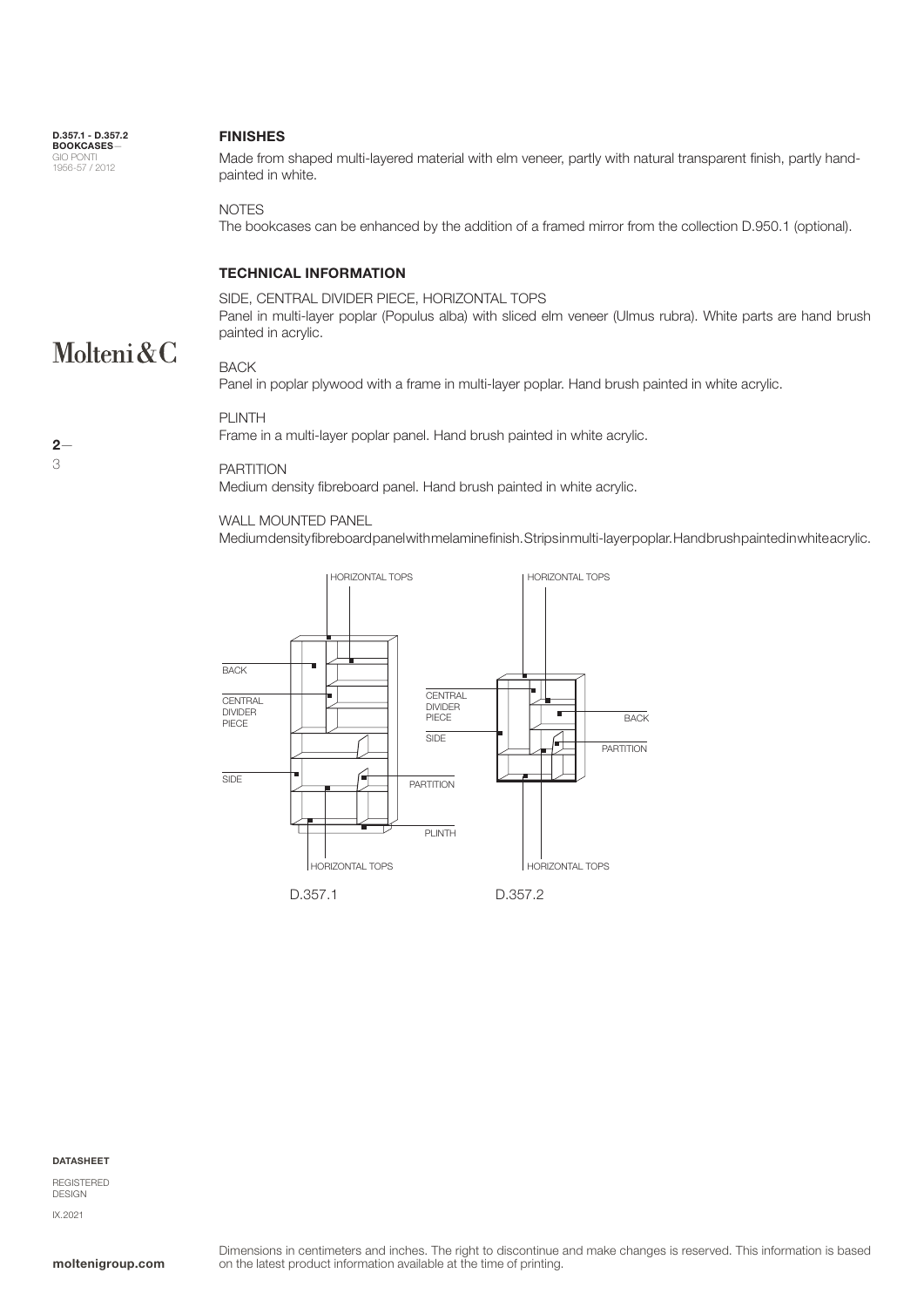D.357.1 - D.357.2 BOOKCASES— GIO PONTI 1956-57 / 2012

#### FINISHES

Made from shaped multi-layered material with elm veneer, partly with natural transparent finish, partly handpainted in white.

**NOTES** 

The bookcases can be enhanced by the addition of a framed mirror from the collection D.950.1 (optional).

### TECHNICAL INFORMATION

SIDE, CENTRAL DIVIDER PIECE, HORIZONTAL TOPS Panel in multi-layer poplar (Populus alba) with sliced elm veneer (Ulmus rubra). White parts are hand brush painted in acrylic.

## Molteni & C BACK

Panel in poplar plywood with a frame in multi-layer poplar. Hand brush painted in white acrylic.

#### PLINTH

Frame in a multi-layer poplar panel. Hand brush painted in white acrylic.

#### PARTITION

Medium density fibreboard panel. Hand brush painted in white acrylic.

#### WALL MOUNTED PANEL

Medium density fibreboard panel with melamine finish. Strips in multi-layer poplar. Hand brush painted in white acrylic.



**DATASHEET** 

REGISTERED DESIGN IX.2021

# $2-$ 3